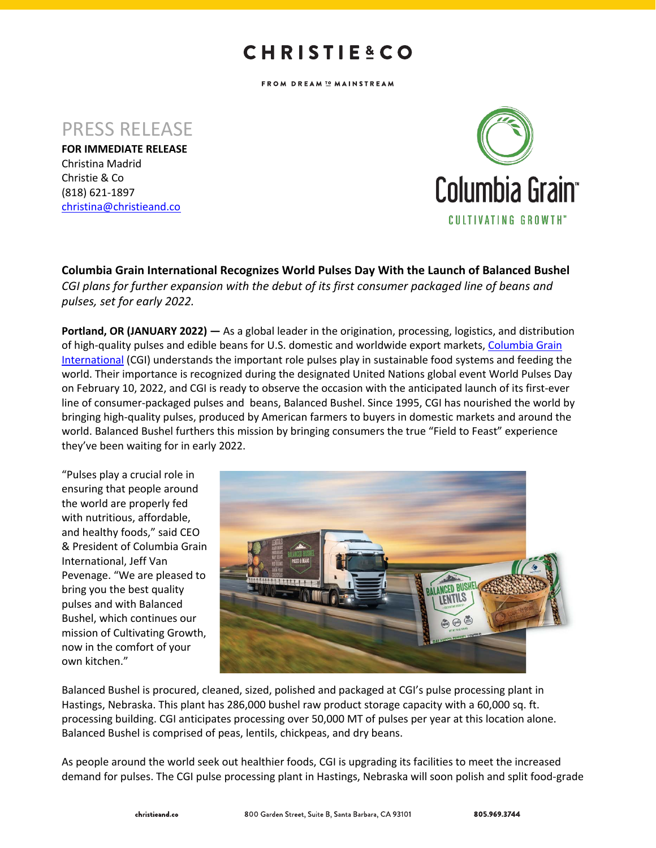## **CHRISTIE&CO**

FROM DREAM I MAINSTREAM

PRESS RELEASE

**FOR IMMEDIATE RELEASE** Christina Madrid Christie & Co (818) 621-1897 christina@christieand.co



**Columbia Grain International Recognizes World Pulses Day With the Launch of Balanced Bushel** *CGI plans for further expansion with the debut of its first consumer packaged line of beans and pulses, set for early 2022.*

**Portland, OR (JANUARY 2022) —** As a global leader in the origination, processing, logistics, and distribution of high-quality pulses and edible beans for U.S. domestic and worldwide export markets, Columbia Grain International (CGI) understands the important role pulses play in sustainable food systems and feeding the world. Their importance is recognized during the designated United Nations global event World Pulses Day on February 10, 2022, and CGI is ready to observe the occasion with the anticipated launch of its first-ever line of consumer-packaged pulses and beans, Balanced Bushel. Since 1995, CGI has nourished the world by bringing high-quality pulses, produced by American farmers to buyers in domestic markets and around the world. Balanced Bushel furthers this mission by bringing consumers the true "Field to Feast" experience they've been waiting for in early 2022.

"Pulses play a crucial role in ensuring that people around the world are properly fed with nutritious, affordable, and healthy foods," said CEO & President of Columbia Grain International, Jeff Van Pevenage. "We are pleased to bring you the best quality pulses and with Balanced Bushel, which continues our mission of Cultivating Growth, now in the comfort of your own kitchen."



Balanced Bushel is procured, cleaned, sized, polished and packaged at CGI's pulse processing plant in Hastings, Nebraska. This plant has 286,000 bushel raw product storage capacity with a 60,000 sq. ft. processing building. CGI anticipates processing over 50,000 MT of pulses per year at this location alone. Balanced Bushel is comprised of peas, lentils, chickpeas, and dry beans.

As people around the world seek out healthier foods, CGI is upgrading its facilities to meet the increased demand for pulses. The CGI pulse processing plant in Hastings, Nebraska will soon polish and split food-grade